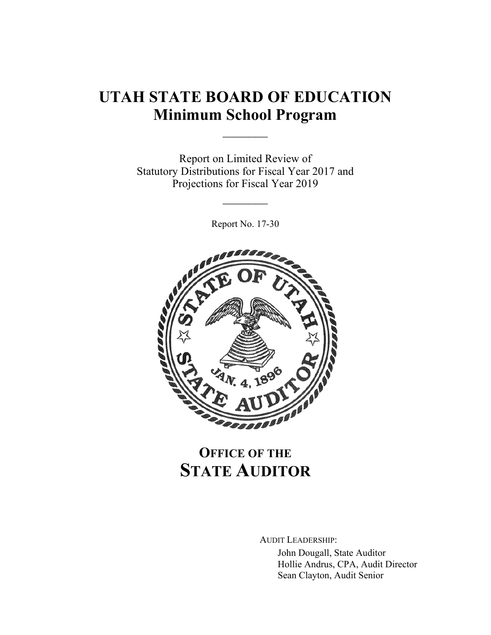# **UTAH STATE BOARD OF EDUCATION Minimum School Program**

 $\frac{1}{2}$ 

Report on Limited Review of Statutory Distributions for Fiscal Year 2017 and Projections for Fiscal Year 2019

Report No. 17-30

 $\frac{1}{2}$ 



## **OFFICE OF THE STATE AUDITOR**

AUDIT LEADERSHIP:

John Dougall, State Auditor Hollie Andrus, CPA, Audit Director Sean Clayton, Audit Senior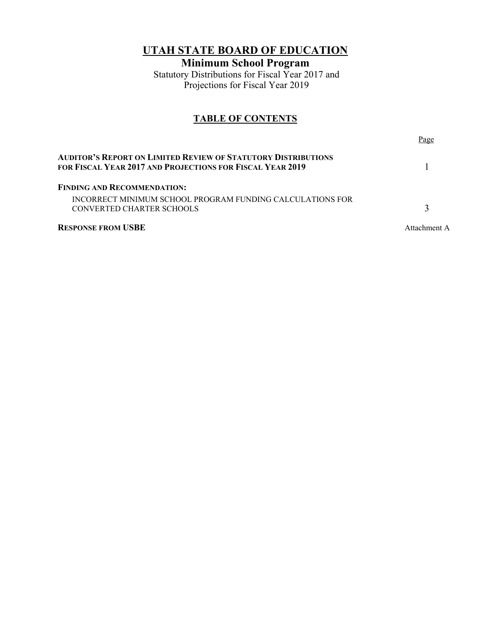### **UTAH STATE BOARD OF EDUCATION**

**Minimum School Program**

Statutory Distributions for Fiscal Year 2017 and Projections for Fiscal Year 2019

### **TABLE OF CONTENTS**

| AUDITOR'S REPORT ON LIMITED REVIEW OF STATUTORY DISTRIBUTIONS                                   | Page         |
|-------------------------------------------------------------------------------------------------|--------------|
| for Fiscal Year 2017 and Projections for Fiscal Year 2019<br><b>FINDING AND RECOMMENDATION:</b> |              |
| INCORRECT MINIMUM SCHOOL PROGRAM FUNDING CALCULATIONS FOR<br>CONVERTED CHARTER SCHOOLS          |              |
| <b>RESPONSE FROM USBE</b>                                                                       | Attachment A |
|                                                                                                 |              |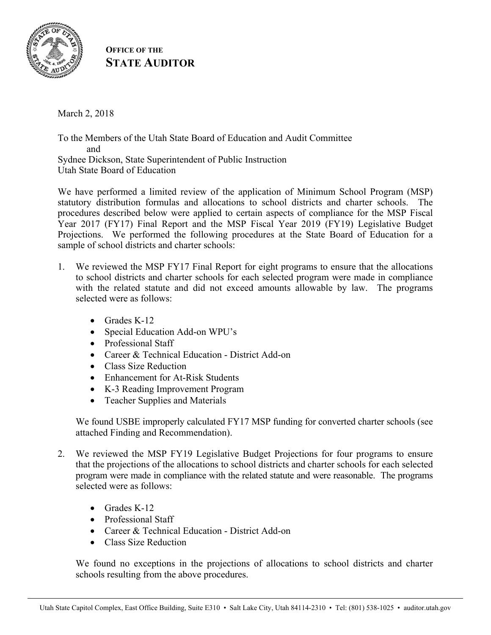

**OFFICE OF THE STATE AUDITOR**

March 2, 2018

To the Members of the Utah State Board of Education and Audit Committee and Sydnee Dickson, State Superintendent of Public Instruction Utah State Board of Education

We have performed a limited review of the application of Minimum School Program (MSP) statutory distribution formulas and allocations to school districts and charter schools. The procedures described below were applied to certain aspects of compliance for the MSP Fiscal Year 2017 (FY17) Final Report and the MSP Fiscal Year 2019 (FY19) Legislative Budget Projections. We performed the following procedures at the State Board of Education for a sample of school districts and charter schools:

- 1. We reviewed the MSP FY17 Final Report for eight programs to ensure that the allocations to school districts and charter schools for each selected program were made in compliance with the related statute and did not exceed amounts allowable by law. The programs selected were as follows:
	- Grades K-12
	- Special Education Add-on WPU's
	- Professional Staff
	- Career & Technical Education District Add-on
	- Class Size Reduction
	- Enhancement for At-Risk Students
	- K-3 Reading Improvement Program
	- Teacher Supplies and Materials

We found USBE improperly calculated FY17 MSP funding for converted charter schools (see attached Finding and Recommendation).

- 2. We reviewed the MSP FY19 Legislative Budget Projections for four programs to ensure that the projections of the allocations to school districts and charter schools for each selected program were made in compliance with the related statute and were reasonable. The programs selected were as follows:
	- Grades K-12
	- Professional Staff
	- Career & Technical Education District Add-on
	- Class Size Reduction

We found no exceptions in the projections of allocations to school districts and charter schools resulting from the above procedures.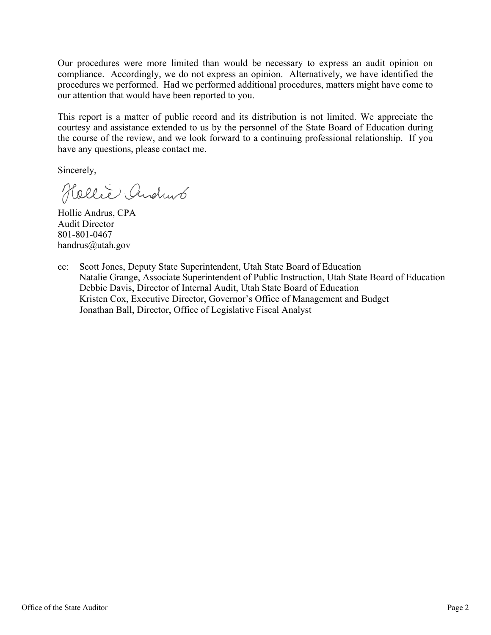Our procedures were more limited than would be necessary to express an audit opinion on compliance. Accordingly, we do not express an opinion. Alternatively, we have identified the procedures we performed. Had we performed additional procedures, matters might have come to our attention that would have been reported to you.

This report is a matter of public record and its distribution is not limited. We appreciate the courtesy and assistance extended to us by the personnel of the State Board of Education during the course of the review, and we look forward to a continuing professional relationship. If you have any questions, please contact me.

Sincerely,

Hellie Andrub

Hollie Andrus, CPA Audit Director 801-801-0467 handrus@utah.gov

cc: Scott Jones, Deputy State Superintendent, Utah State Board of Education Natalie Grange, Associate Superintendent of Public Instruction, Utah State Board of Education Debbie Davis, Director of Internal Audit, Utah State Board of Education Kristen Cox, Executive Director, Governor's Office of Management and Budget Jonathan Ball, Director, Office of Legislative Fiscal Analyst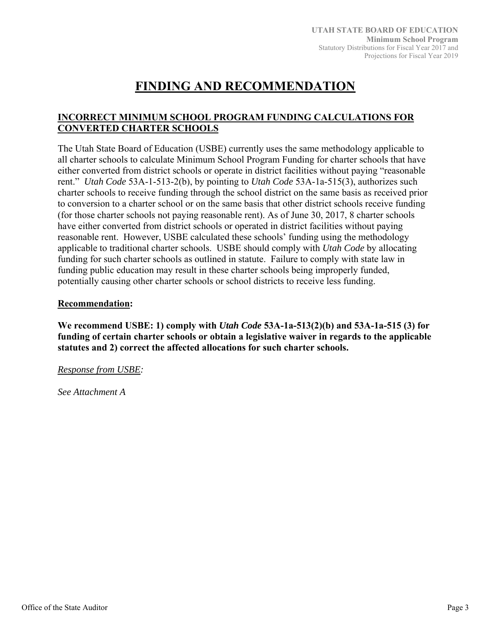## **FINDING AND RECOMMENDATION**

### **INCORRECT MINIMUM SCHOOL PROGRAM FUNDING CALCULATIONS FOR CONVERTED CHARTER SCHOOLS**

The Utah State Board of Education (USBE) currently uses the same methodology applicable to all charter schools to calculate Minimum School Program Funding for charter schools that have either converted from district schools or operate in district facilities without paying "reasonable rent." *Utah Code* 53A-1-513-2(b), by pointing to *Utah Code* 53A-1a-515(3), authorizes such charter schools to receive funding through the school district on the same basis as received prior to conversion to a charter school or on the same basis that other district schools receive funding (for those charter schools not paying reasonable rent). As of June 30, 2017, 8 charter schools have either converted from district schools or operated in district facilities without paying reasonable rent. However, USBE calculated these schools' funding using the methodology applicable to traditional charter schools. USBE should comply with *Utah Code* by allocating funding for such charter schools as outlined in statute. Failure to comply with state law in funding public education may result in these charter schools being improperly funded, potentially causing other charter schools or school districts to receive less funding.

### **Recommendation:**

**We recommend USBE: 1) comply with** *Utah Code* **53A-1a-513(2)(b) and 53A-1a-515 (3) for funding of certain charter schools or obtain a legislative waiver in regards to the applicable statutes and 2) correct the affected allocations for such charter schools.** 

*Response from USBE:* 

*See Attachment A*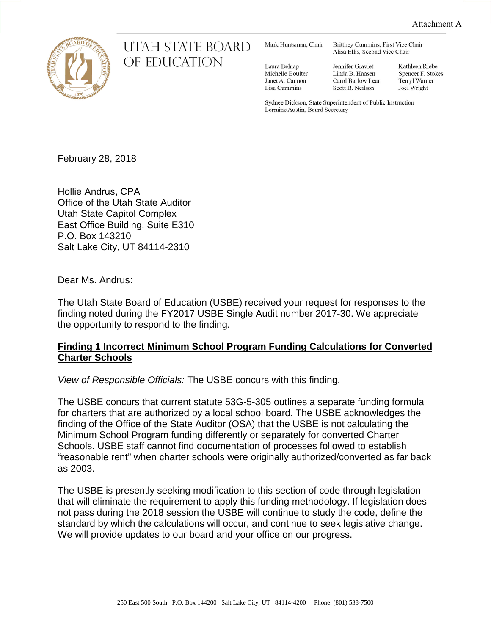

### UTAH STATE BOARD OF EDUCATION

Mark Huntsman, Chair

Brittney Cummins, First Vice Chair Alisa Ellis, Second Vice Chair

Laura Belnap Michelle Boulter Janet A. Cannon Lisa Cummins

Jennifer Graviet Linda B. Hansen Carol Barlow Lear Scott B. Neilson

Kathleen Riebe Spencer F. Stokes Terryl Warner Joel Wright

Sydnee Dickson, State Superintendent of Public Instruction Lorraine Austin, Board Secretary

February 28, 2018

Hollie Andrus, CPA Office of the Utah State Auditor Utah State Capitol Complex East Office Building, Suite E310 P.O. Box 143210 Salt Lake City, UT 84114-2310

Dear Ms. Andrus:

The Utah State Board of Education (USBE) received your request for responses to the finding noted during the FY2017 USBE Single Audit number 2017-30. We appreciate the opportunity to respond to the finding.

### **Finding 1 Incorrect Minimum School Program Funding Calculations for Converted Charter Schools**

*View of Responsible Officials:* The USBE concurs with this finding.

The USBE concurs that current statute 53G-5-305 outlines a separate funding formula for charters that are authorized by a local school board. The USBE acknowledges the finding of the Office of the State Auditor (OSA) that the USBE is not calculating the Minimum School Program funding differently or separately for converted Charter Schools. USBE staff cannot find documentation of processes followed to establish "reasonable rent" when charter schools were originally authorized/converted as far back as 2003.

The USBE is presently seeking modification to this section of code through legislation that will eliminate the requirement to apply this funding methodology. If legislation does not pass during the 2018 session the USBE will continue to study the code, define the standard by which the calculations will occur, and continue to seek legislative change. We will provide updates to our board and your office on our progress.